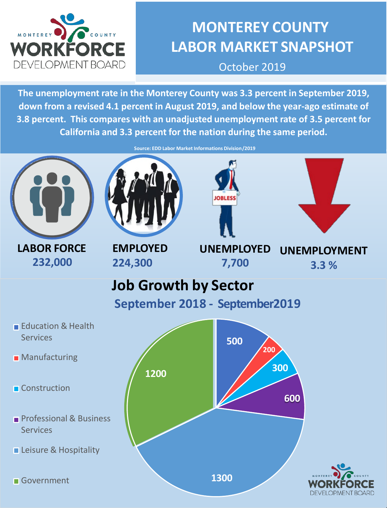

## **MONTEREY COUNTY LABOR MARKET SNAPSHOT**

October 2019

**The unemployment rate in the Monterey County was 3.3 percent in September 2019, down from a revised 4.1 percent in August 2019, and below the year-ago estimate of 3.8 percent. This compares with an unadjusted unemployment rate of 3.5 percent for California and 3.3 percent for the nation during the same period.**

**Source: EDD Labor Market Informations Division/2019**